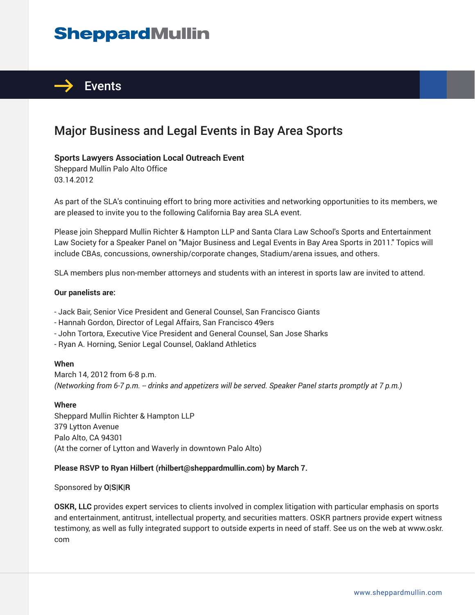# **SheppardMullin**



### Major Business and Legal Events in Bay Area Sports

#### **Sports Lawyers Association Local Outreach Event**

Sheppard Mullin Palo Alto Office 03.14.2012

As part of the SLA's continuing effort to bring more activities and networking opportunities to its members, we are pleased to invite you to the following California Bay area SLA event.

Please join Sheppard Mullin Richter & Hampton LLP and Santa Clara Law School's Sports and Entertainment Law Society for a Speaker Panel on "Major Business and Legal Events in Bay Area Sports in 2011." Topics will include CBAs, concussions, ownership/corporate changes, Stadium/arena issues, and others.

SLA members plus non-member attorneys and students with an interest in sports law are invited to attend.

#### **Our panelists are:**

- Jack Bair, Senior Vice President and General Counsel, San Francisco Giants

- Hannah Gordon, Director of Legal Affairs, San Francisco 49ers
- John Tortora, Executive Vice President and General Counsel, San Jose Sharks
- Ryan A. Horning, Senior Legal Counsel, Oakland Athletics

#### **When**

March 14, 2012 from 6-8 p.m. *(Networking from 6-7 p.m. -- drinks and appetizers will be served. Speaker Panel starts promptly at 7 p.m.)*

#### **Where**

Sheppard Mullin Richter & Hampton LLP 379 Lytton Avenue Palo Alto, CA 94301 (At the corner of Lytton and Waverly in downtown Palo Alto)

#### **Please RSVP to Ryan Hilbert (rhilbert@sheppardmullin.com) by March 7.**

Sponsored by **O|S|K|R**

**OSKR, LLC** provides expert services to clients involved in complex litigation with particular emphasis on sports and entertainment, antitrust, intellectual property, and securities matters. OSKR partners provide expert witness testimony, as well as fully integrated support to outside experts in need of staff. See us on the web at www.oskr. com